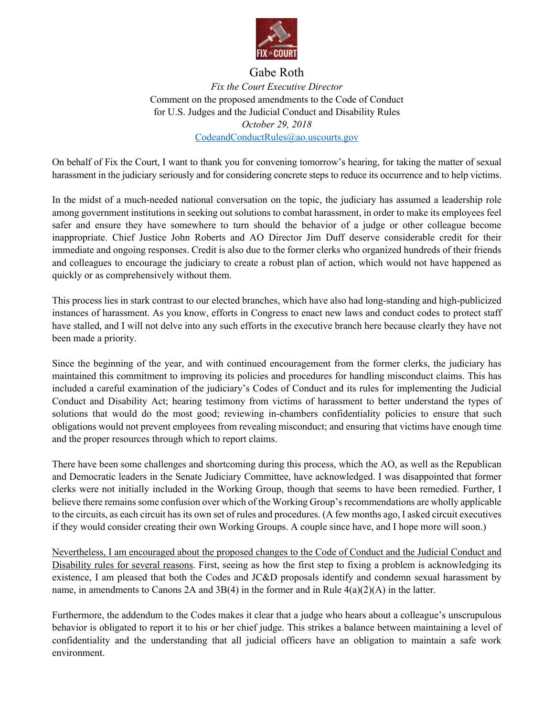

## Gabe Roth

*Fix the Court Executive Director* Comment on the proposed amendments to the Code of Conduct for U.S. Judges and the Judicial Conduct and Disability Rules *October 29, 2018* CodeandConductRules@ao.uscourts.gov

On behalf of Fix the Court, I want to thank you for convening tomorrow's hearing, for taking the matter of sexual harassment in the judiciary seriously and for considering concrete steps to reduce its occurrence and to help victims.

In the midst of a much-needed national conversation on the topic, the judiciary has assumed a leadership role among government institutions in seeking out solutions to combat harassment, in order to make its employees feel safer and ensure they have somewhere to turn should the behavior of a judge or other colleague become inappropriate. Chief Justice John Roberts and AO Director Jim Duff deserve considerable credit for their immediate and ongoing responses. Credit is also due to the former clerks who organized hundreds of their friends and colleagues to encourage the judiciary to create a robust plan of action, which would not have happened as quickly or as comprehensively without them.

This process lies in stark contrast to our elected branches, which have also had long-standing and high-publicized instances of harassment. As you know, efforts in Congress to enact new laws and conduct codes to protect staff have stalled, and I will not delve into any such efforts in the executive branch here because clearly they have not been made a priority.

Since the beginning of the year, and with continued encouragement from the former clerks, the judiciary has maintained this commitment to improving its policies and procedures for handling misconduct claims. This has included a careful examination of the judiciary's Codes of Conduct and its rules for implementing the Judicial Conduct and Disability Act; hearing testimony from victims of harassment to better understand the types of solutions that would do the most good; reviewing in-chambers confidentiality policies to ensure that such obligations would not prevent employees from revealing misconduct; and ensuring that victims have enough time and the proper resources through which to report claims.

There have been some challenges and shortcoming during this process, which the AO, as well as the Republican and Democratic leaders in the Senate Judiciary Committee, have acknowledged. I was disappointed that former clerks were not initially included in the Working Group, though that seems to have been remedied. Further, I believe there remains some confusion over which of the Working Group's recommendations are wholly applicable to the circuits, as each circuit has its own set of rules and procedures. (A few months ago, I asked circuit executives if they would consider creating their own Working Groups. A couple since have, and I hope more will soon.)

Nevertheless, I am encouraged about the proposed changes to the Code of Conduct and the Judicial Conduct and Disability rules for several reasons. First, seeing as how the first step to fixing a problem is acknowledging its existence, I am pleased that both the Codes and JC&D proposals identify and condemn sexual harassment by name, in amendments to Canons 2A and 3B(4) in the former and in Rule  $4(a)(2)(A)$  in the latter.

Furthermore, the addendum to the Codes makes it clear that a judge who hears about a colleague's unscrupulous behavior is obligated to report it to his or her chief judge. This strikes a balance between maintaining a level of confidentiality and the understanding that all judicial officers have an obligation to maintain a safe work environment.